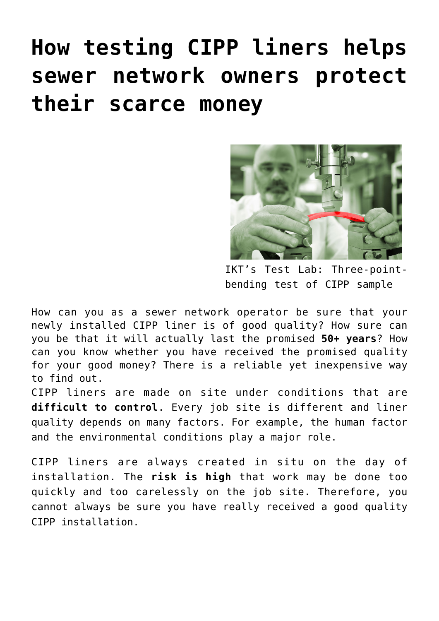# **[How testing CIPP liners helps](https://www.ikt-online.org/blog/how-testing-cipp-liners-helps-sewer-network-owners-protect-their-scarce-money/) [sewer network owners protect](https://www.ikt-online.org/blog/how-testing-cipp-liners-helps-sewer-network-owners-protect-their-scarce-money/) [their scarce money](https://www.ikt-online.org/blog/how-testing-cipp-liners-helps-sewer-network-owners-protect-their-scarce-money/)**



IKT's Test Lab: Three-pointbending test of CIPP sample

How can you as a sewer network operator be sure that your newly installed CIPP liner is of good quality? How sure can you be that it will actually last the promised **50+ years**? How can you know whether you have received the promised quality for your good money? There is a reliable yet inexpensive way to find out.

CIPP liners are made on site under conditions that are **difficult to control**. Every job site is different and liner quality depends on many factors. For example, the human factor and the environmental conditions play a major role.

CIPP liners are always created in situ on the day of installation. The **risk is high** that work may be done too quickly and too carelessly on the job site. Therefore, you cannot always be sure you have really received a good quality CIPP installation.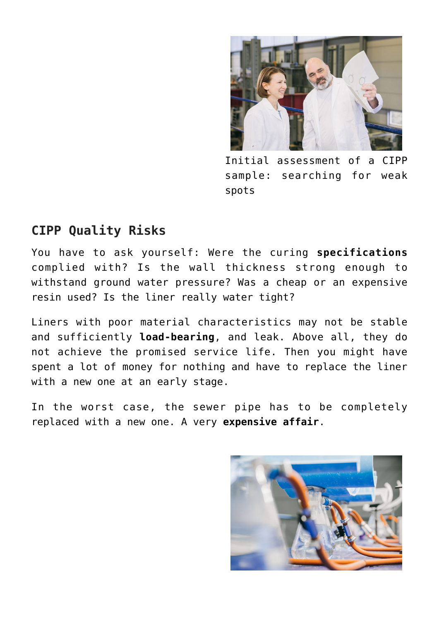

Initial assessment of a CIPP sample: searching for weak spots

## **CIPP Quality Risks**

You have to ask yourself: Were the curing **specifications** complied with? Is the wall thickness strong enough to withstand ground water pressure? Was a cheap or an expensive resin used? Is the liner really water tight?

Liners with poor material characteristics may not be stable and sufficiently **load-bearing**, and leak. Above all, they do not achieve the promised service life. Then you might have spent a lot of money for nothing and have to replace the liner with a new one at an early stage.

In the worst case, the sewer pipe has to be completely replaced with a new one. A very **expensive affair**.

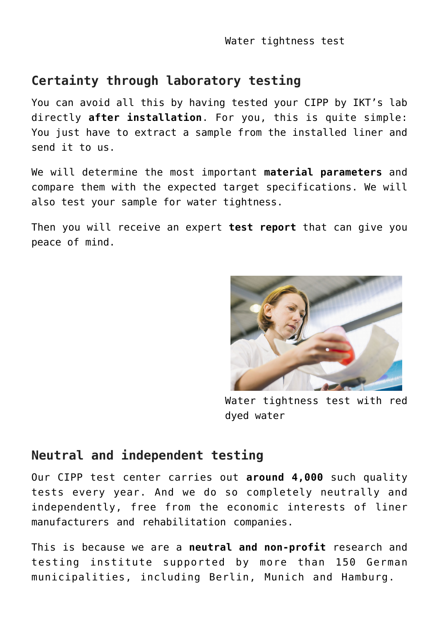# **Certainty through laboratory testing**

You can avoid all this by having tested your CIPP by IKT's lab directly **after installation**. For you, this is quite simple: You just have to extract a sample from the installed liner and send it to us.

We will determine the most important **material parameters** and compare them with the expected target specifications. We will also test your sample for water tightness.

Then you will receive an expert **test report** that can give you peace of mind.



Water tightness test with red dyed water

#### **Neutral and independent testing**

Our CIPP test center carries out **around 4,000** such quality tests every year. And we do so completely neutrally and independently, free from the economic interests of liner manufacturers and rehabilitation companies.

This is because we are a **neutral and non-profit** research and testing institute supported by more than 150 German municipalities, including Berlin, Munich and Hamburg.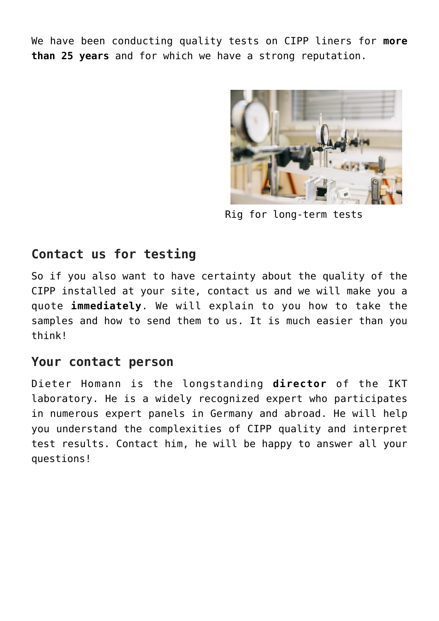We have been conducting quality tests on CIPP liners for **more than 25 years** and for which we have a strong reputation.



Rig for long-term tests

### **Contact us for testing**

So if you also want to have certainty about the quality of the CIPP installed at your site, contact us and we will make you a quote **immediately**. We will explain to you how to take the samples and how to send them to us. It is much easier than you think!

#### **Your contact person**

Dieter Homann is the longstanding **director** of the IKT laboratory. He is a widely recognized expert who participates in numerous expert panels in Germany and abroad. He will help you understand the complexities of CIPP quality and interpret test results. Contact him, he will be happy to answer all your questions!